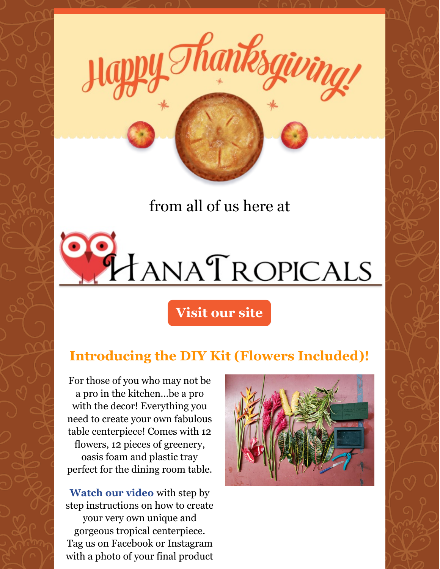

Thanksgivi

# HANATROPICALS

#### **Visit our site**

## **Introducing the DIY Kit (Flowers Included)!**

For those of you who may not be a pro in the kitchen...be a pro with the decor! Everything you need to create your own fabulous table centerpiece! Comes with 12 flowers, 12 pieces of greenery, oasis foam and plastic tray perfect for the dining room table.

**[Watch](https://www.youtube.com/watch?v=JKa6sIwjQUQ) our video** with step by step instructions on how to create your very own unique and gorgeous tropical centerpiece. Tag us on Facebook or Instagram with a photo of your final product

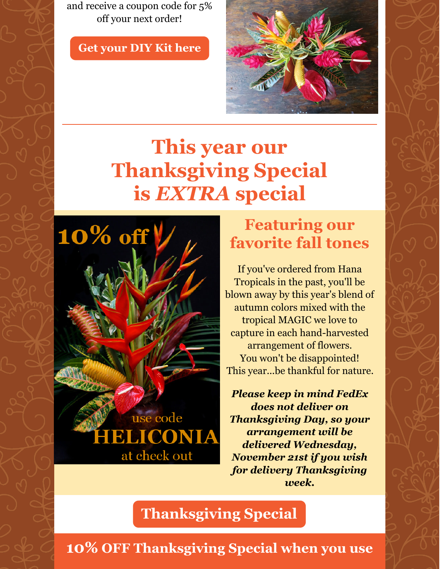and receive a coupon code for 5% off your next order!

**Get [your](http://hanatropicals.com/diy-flower-arranging-kit-flowers-included/) DIY Kit here**



## **This year our Thanksgiving Special is** *EXTRA* **special**



## **Featuring our favorite fall tones**

If you've ordered from Hana Tropicals in the past, you'll be blown away by this year's blend of autumn colors mixed with the tropical MAGIC we love to capture in each hand-harvested arrangement of flowers. You won't be disappointed! This year...be thankful for nature.

*Please keep in mind FedEx does not deliver on Thanksgiving Day, so your arrangement will be delivered Wednesday, November 21st if you wish for delivery Thanksgiving week.*

#### **[Thanksgiving](http://hanatropicals.com/thanksgiving-special/) Special**

**10% OFF Thanksgiving Special when you use**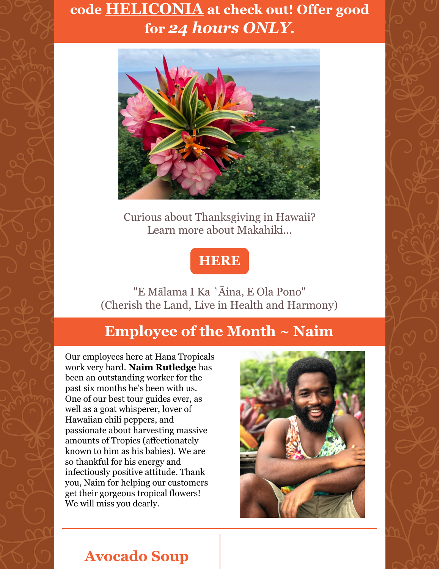#### **code HELICONIA at check out! Offer good for** *24 hours ONLY***.**



Curious about Thanksgiving in Hawaii? Learn more about Makahiki...

#### **[HERE](https://www.downtoearth.org/articles/2011-11/2482/thanksgiving-hawaii)**

"E Mālama I Ka `Āina, E Ola Pono" (Cherish the Land, Live in Health and Harmony)

#### **Employee of the Month ~ Naim**

Our employees here at Hana Tropicals work very hard. **Naim Rutledge** has been an outstanding worker for the past six months he's been with us. One of our best tour guides ever, as well as a goat whisperer, lover of Hawaiian chili peppers, and passionate about harvesting massive amounts of Tropics (affectionately known to him as his babies). We are so thankful for his energy and infectiously positive attitude. Thank you, Naim for helping our customers get their gorgeous tropical flowers! We will miss you dearly.



#### **Avocado Soup**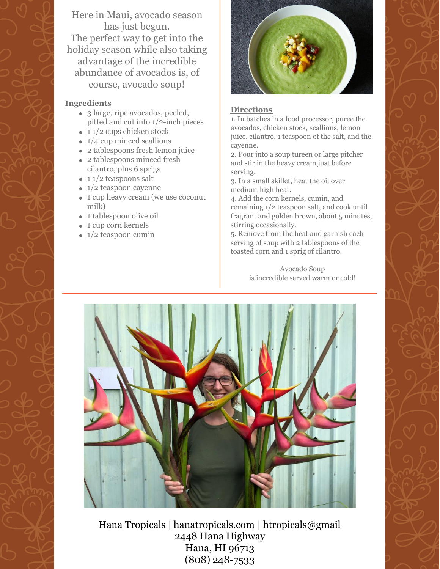Here in Maui, avocado season has just begun. The perfect way to get into the holiday season while also taking advantage of the incredible abundance of avocados is, of course, avocado soup!

#### **Ingredients**

- 3 large, ripe avocados, peeled, pitted and cut into 1/2-inch pieces
- $\cdot$  11/2 cups chicken stock
- $\bullet$  1/4 cup minced scallions
- 2 tablespoons fresh lemon juice
- 2 tablespoons minced fresh cilantro, plus 6 sprigs
- $\cdot$  11/2 teaspoons salt
- $1/2$  teaspoon cayenne
- 1 cup heavy cream (we use coconut milk)
- 1 tablespoon olive oil
- 1 cup corn kernels
- $\bullet$  1/2 teaspoon cumin



#### **Directions**

1. In batches in a food processor, puree the avocados, chicken stock, scallions, lemon juice, cilantro, 1 teaspoon of the salt, and the cayenne.

2. Pour into a soup tureen or large pitcher and stir in the heavy cream just before serving.

3. In a small skillet, heat the oil over medium-high heat.

4. Add the corn kernels, cumin, and remaining 1/2 teaspoon salt, and cook until fragrant and golden brown, about 5 minutes, stirring occasionally.

5. Remove from the heat and garnish each serving of soup with 2 tablespoons of the toasted corn and 1 sprig of cilantro.

> Avocado Soup is incredible served warm or cold!



Hana Tropicals | [hanatropicals.com](http://www.hanatropicals.com) | [htropicals@gmail](mailto:htropicals@gmail.com) 2448 Hana Highway Hana, HI 96713 (808) 248-7533